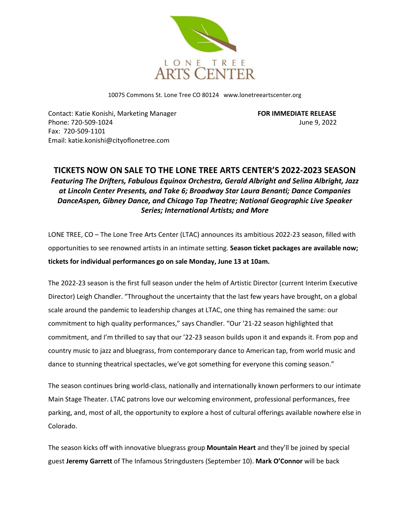

10075 Commons St. Lone Tree CO 80124 www.lonetreeartscenter.org

Contact: Katie Konishi, Marketing Manager **FOR IMMEDIATE RELEASE** Phone: 720-509-1024 June 9, 2022 Fax: 720-509-1101 Email: katie.konishi@cityoflonetree.com

## **TICKETS NOW ON SALE TO THE LONE TREE ARTS CENTER'S 2022-2023 SEASON** *Featuring The Drifters, Fabulous Equinox Orchestra, Gerald Albright and Selina Albright, Jazz at Lincoln Center Presents, and Take 6; Broadway Star Laura Benanti; Dance Companies DanceAspen, Gibney Dance, and Chicago Tap Theatre; National Geographic Live Speaker Series; International Artists; and More*

LONE TREE, CO – The Lone Tree Arts Center (LTAC) announces its ambitious 2022-23 season, filled with opportunities to see renowned artists in an intimate setting. **Season ticket packages are available now; tickets for individual performances go on sale Monday, June 13 at 10am.**

The 2022-23 season is the first full season under the helm of Artistic Director (current Interim Executive Director) Leigh Chandler. "Throughout the uncertainty that the last few years have brought, on a global scale around the pandemic to leadership changes at LTAC, one thing has remained the same: our commitment to high quality performances," says Chandler. "Our '21-22 season highlighted that commitment, and I'm thrilled to say that our '22-23 season builds upon it and expands it. From pop and country music to jazz and bluegrass, from contemporary dance to American tap, from world music and dance to stunning theatrical spectacles, we've got something for everyone this coming season."

The season continues bring world-class, nationally and internationally known performers to our intimate Main Stage Theater. LTAC patrons love our welcoming environment, professional performances, free parking, and, most of all, the opportunity to explore a host of cultural offerings available nowhere else in Colorado.

The season kicks off with innovative bluegrass group **Mountain Heart** and they'll be joined by special guest **Jeremy Garrett** of The Infamous Stringdusters (September 10). **Mark O'Connor** will be back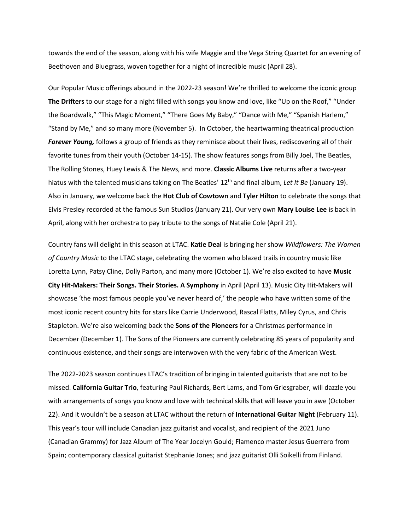towards the end of the season, along with his wife Maggie and the Vega String Quartet for an evening of Beethoven and Bluegrass, woven together for a night of incredible music (April 28).

Our Popular Music offerings abound in the 2022-23 season! We're thrilled to welcome the iconic group **The Drifters** to our stage for a night filled with songs you know and love, like "Up on the Roof," "Under the Boardwalk," "This Magic Moment," "There Goes My Baby," "Dance with Me," "Spanish Harlem," "Stand by Me," and so many more (November 5). In October, the heartwarming theatrical production *Forever Young,* follows a group of friends as they reminisce about their lives, rediscovering all of their favorite tunes from their youth (October 14-15). The show features songs from Billy Joel, The Beatles, The Rolling Stones, Huey Lewis & The News, and more. **Classic Albums Live** returns after a two-year hiatus with the talented musicians taking on The Beatles' 12<sup>th</sup> and final album, Let It Be (January 19). Also in January, we welcome back the **Hot Club of Cowtown** and **Tyler Hilton** to celebrate the songs that Elvis Presley recorded at the famous Sun Studios (January 21). Our very own **Mary Louise Lee** is back in April, along with her orchestra to pay tribute to the songs of Natalie Cole (April 21).

Country fans will delight in this season at LTAC. **Katie Deal** is bringing her show *Wildflowers: The Women of Country Music* to the LTAC stage, celebrating the women who blazed trails in country music like Loretta Lynn, Patsy Cline, Dolly Parton, and many more (October 1). We're also excited to have **Music City Hit-Makers: Their Songs. Their Stories. A Symphony** in April (April 13). Music City Hit-Makers will showcase 'the most famous people you've never heard of,' the people who have written some of the most iconic recent country hits for stars like Carrie Underwood, Rascal Flatts, Miley Cyrus, and Chris Stapleton. We're also welcoming back the **Sons of the Pioneers** for a Christmas performance in December (December 1). The Sons of the Pioneers are currently celebrating 85 years of popularity and continuous existence, and their songs are interwoven with the very fabric of the American West.

The 2022-2023 season continues LTAC's tradition of bringing in talented guitarists that are not to be missed. **California Guitar Trio**, featuring Paul Richards, Bert Lams, and Tom Griesgraber, will dazzle you with arrangements of songs you know and love with technical skills that will leave you in awe (October 22). And it wouldn't be a season at LTAC without the return of **International Guitar Night** (February 11). This year's tour will include Canadian jazz guitarist and vocalist, and recipient of the 2021 Juno (Canadian Grammy) for Jazz Album of The Year Jocelyn Gould; Flamenco master Jesus Guerrero from Spain; contemporary classical guitarist Stephanie Jones; and jazz guitarist Olli Soikelli from Finland.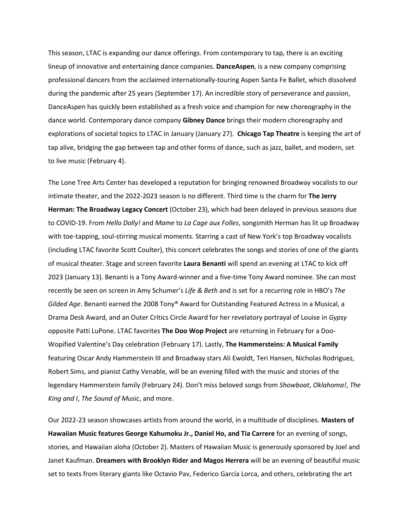This season, LTAC is expanding our dance offerings. From contemporary to tap, there is an exciting lineup of innovative and entertaining dance companies. **DanceAspen**, is a new company comprising professional dancers from the acclaimed internationally-touring Aspen Santa Fe Ballet, which dissolved during the pandemic after 25 years (September 17). An incredible story of perseverance and passion, DanceAspen has quickly been established as a fresh voice and champion for new choreography in the dance world. Contemporary dance company **Gibney Dance** brings their modern choreography and explorations of societal topics to LTAC in January (January 27). **Chicago Tap Theatre** is keeping the art of tap alive, bridging the gap between tap and other forms of dance, such as jazz, ballet, and modern, set to live music (February 4).

The Lone Tree Arts Center has developed a reputation for bringing renowned Broadway vocalists to our intimate theater, and the 2022-2023 season is no different. Third time is the charm for **The Jerry Herman: The Broadway Legacy Concert** (October 23), which had been delayed in previous seasons due to COVID-19. From *Hello Dolly!* and *Mame* to *La Cage aux Folles*, songsmith Herman has lit up Broadway with toe-tapping, soul-stirring musical moments. Starring a cast of New York's top Broadway vocalists (including LTAC favorite Scott Coulter), this concert celebrates the songs and stories of one of the giants of musical theater. Stage and screen favorite **Laura Benanti** will spend an evening at LTAC to kick off 2023 (January 13). Benanti is a Tony Award-winner and a five-time Tony Award nominee. She can most recently be seen on screen in Amy Schumer's *Life & Beth* and is set for a recurring role in HBO's *The Gilded Age*. Benanti earned the 2008 Tony® Award for Outstanding Featured Actress in a Musical, a Drama Desk Award, and an Outer Critics Circle Award for her revelatory portrayal of Louise in *Gypsy* opposite Patti LuPone. LTAC favorites **The Doo Wop Project** are returning in February for a Doo-Wopified Valentine's Day celebration (February 17). Lastly, **The Hammersteins: A Musical Family** featuring Oscar Andy Hammerstein III and Broadway stars Ali Ewoldt, Teri Hansen, Nicholas Rodriguez, Robert Sims, and pianist Cathy Venable, will be an evening filled with the music and stories of the legendary Hammerstein family (February 24). Don't miss beloved songs from *Showboat*, *Oklahoma!*, *The King and I*, *The Sound of Music*, and more.

Our 2022-23 season showcases artists from around the world, in a multitude of disciplines. **Masters of Hawaiian Music features George Kahumoku Jr., Daniel Ho, and Tia Carrere** for an evening of songs, stories, and Hawaiian aloha (October 2). Masters of Hawaiian Music is generously sponsored by Joel and Janet Kaufman. **Dreamers with Brooklyn Rider and Magos Herrera** will be an evening of beautiful music set to texts from literary giants like Octavio Pav, Federico García Lorca, and others, celebrating the art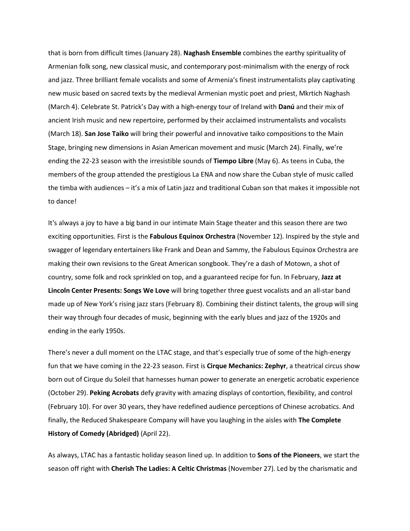that is born from difficult times (January 28). **Naghash Ensemble** combines the earthy spirituality of Armenian folk song, new classical music, and contemporary post-minimalism with the energy of rock and jazz. Three brilliant female vocalists and some of Armenia's finest instrumentalists play captivating new music based on sacred texts by the medieval Armenian mystic poet and priest, Mkrtich Naghash (March 4). Celebrate St. Patrick's Day with a high-energy tour of Ireland with **Danú** and their mix of ancient Irish music and new repertoire, performed by their acclaimed instrumentalists and vocalists (March 18). **San Jose Taiko** will bring their powerful and innovative taiko compositions to the Main Stage, bringing new dimensions in Asian American movement and music (March 24). Finally, we're ending the 22-23 season with the irresistible sounds of **Tiempo Libre** (May 6). As teens in Cuba, the members of the group attended the prestigious La ENA and now share the Cuban style of music called the timba with audiences – it's a mix of Latin jazz and traditional Cuban son that makes it impossible not to dance!

It's always a joy to have a big band in our intimate Main Stage theater and this season there are two exciting opportunities. First is the **Fabulous Equinox Orchestra** (November 12). Inspired by the style and swagger of legendary entertainers like Frank and Dean and Sammy, the Fabulous Equinox Orchestra are making their own revisions to the Great American songbook. They're a dash of Motown, a shot of country, some folk and rock sprinkled on top, and a guaranteed recipe for fun. In February, **Jazz at Lincoln Center Presents: Songs We Love** will bring together three guest vocalists and an all-star band made up of New York's rising jazz stars (February 8). Combining their distinct talents, the group will sing their way through four decades of music, beginning with the early blues and jazz of the 1920s and ending in the early 1950s.

There's never a dull moment on the LTAC stage, and that's especially true of some of the high-energy fun that we have coming in the 22-23 season. First is **Cirque Mechanics: Zephyr**, a theatrical circus show born out of Cirque du Soleil that harnesses human power to generate an energetic acrobatic experience (October 29). **Peking Acrobats** defy gravity with amazing displays of contortion, flexibility, and control (February 10). For over 30 years, they have redefined audience perceptions of Chinese acrobatics. And finally, the Reduced Shakespeare Company will have you laughing in the aisles with **The Complete History of Comedy (Abridged)** (April 22).

As always, LTAC has a fantastic holiday season lined up. In addition to **Sons of the Pioneers**, we start the season off right with **Cherish The Ladies: A Celtic Christmas** (November 27). Led by the charismatic and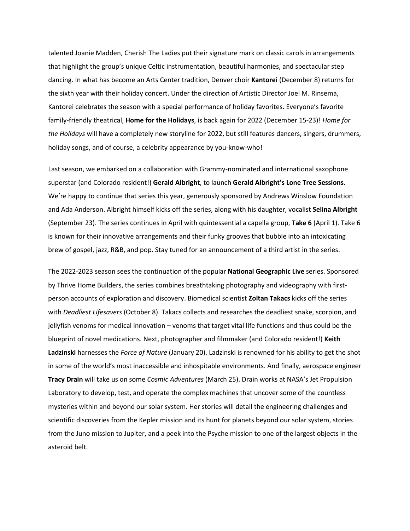talented Joanie Madden, Cherish The Ladies put their signature mark on classic carols in arrangements that highlight the group's unique Celtic instrumentation, beautiful harmonies, and spectacular step dancing. In what has become an Arts Center tradition, Denver choir **Kantorei** (December 8) returns for the sixth year with their holiday concert. Under the direction of Artistic Director Joel M. Rinsema, Kantorei celebrates the season with a special performance of holiday favorites. Everyone's favorite family-friendly theatrical, **Home for the Holidays**, is back again for 2022 (December 15-23)! *Home for the Holidays* will have a completely new storyline for 2022, but still features dancers, singers, drummers, holiday songs, and of course, a celebrity appearance by you-know-who!

Last season, we embarked on a collaboration with Grammy-nominated and international saxophone superstar (and Colorado resident!) **Gerald Albright**, to launch **Gerald Albright's Lone Tree Sessions**. We're happy to continue that series this year, generously sponsored by Andrews Winslow Foundation and Ada Anderson. Albright himself kicks off the series, along with his daughter, vocalist **Selina Albright** (September 23). The series continues in April with quintessential a capella group, **Take 6** (April 1). Take 6 is known for their innovative arrangements and their funky grooves that bubble into an intoxicating brew of gospel, jazz, R&B, and pop. Stay tuned for an announcement of a third artist in the series.

The 2022-2023 season sees the continuation of the popular **National Geographic Live** series. Sponsored by Thrive Home Builders, the series combines breathtaking photography and videography with firstperson accounts of exploration and discovery. Biomedical scientist **Zoltan Takacs** kicks off the series with *Deadliest Lifesavers* (October 8). Takacs collects and researches the deadliest snake, scorpion, and jellyfish venoms for medical innovation – venoms that target vital life functions and thus could be the blueprint of novel medications. Next, photographer and filmmaker (and Colorado resident!) **Keith Ladzinski** harnesses the *Force of Nature* (January 20). Ladzinski is renowned for his ability to get the shot in some of the world's most inaccessible and inhospitable environments. And finally, aerospace engineer **Tracy Drain** will take us on some *Cosmic Adventures* (March 25). Drain works at NASA's Jet Propulsion Laboratory to develop, test, and operate the complex machines that uncover some of the countless mysteries within and beyond our solar system. Her stories will detail the engineering challenges and scientific discoveries from the Kepler mission and its hunt for planets beyond our solar system, stories from the Juno mission to Jupiter, and a peek into the Psyche mission to one of the largest objects in the asteroid belt.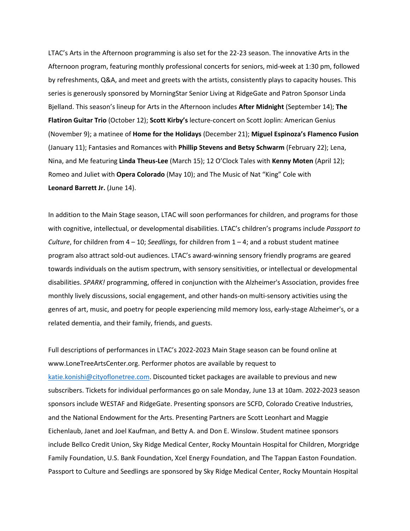LTAC's Arts in the Afternoon programming is also set for the 22-23 season. The innovative Arts in the Afternoon program, featuring monthly professional concerts for seniors, mid-week at 1:30 pm, followed by refreshments, Q&A, and meet and greets with the artists, consistently plays to capacity houses. This series is generously sponsored by MorningStar Senior Living at RidgeGate and Patron Sponsor Linda Bjelland. This season's lineup for Arts in the Afternoon includes **After Midnight** (September 14); **The Flatiron Guitar Trio** (October 12); **Scott Kirby's** lecture-concert on Scott Joplin: American Genius (November 9); a matinee of **Home for the Holidays** (December 21); **Miguel Espinoza's Flamenco Fusion** (January 11); Fantasies and Romances with **Phillip Stevens and Betsy Schwarm** (February 22); Lena, Nina, and Me featuring **Linda Theus-Lee** (March 15); 12 O'Clock Tales with **Kenny Moten** (April 12); Romeo and Juliet with **Opera Colorado** (May 10); and The Music of Nat "King" Cole with **Leonard Barrett Jr.** (June 14).

In addition to the Main Stage season, LTAC will soon performances for children, and programs for those with cognitive, intellectual, or developmental disabilities. LTAC's children's programs include *Passport to Culture*, for children from 4 – 10; *Seedlings,* for children from 1 – 4; and a robust student matinee program also attract sold-out audiences. LTAC's award-winning sensory friendly programs are geared towards individuals on the autism spectrum, with sensory sensitivities, or intellectual or developmental disabilities. *SPARK!* programming, offered in conjunction with the Alzheimer's Association, provides free monthly lively discussions, social engagement, and other hands-on multi-sensory activities using the genres of art, music, and poetry for people experiencing mild memory loss, early-stage Alzheimer's, or a related dementia, and their family, friends, and guests.

Full descriptions of performances in LTAC's 2022-2023 Main Stage season can be found online at www.LoneTreeArtsCenter.org. Performer photos are available by request to [katie.konishi@cityoflonetree.com.](mailto:katie.konishi@cityoflonetree.com) Discounted ticket packages are available to previous and new subscribers. Tickets for individual performances go on sale Monday, June 13 at 10am. 2022-2023 season sponsors include WESTAF and RidgeGate. Presenting sponsors are SCFD, Colorado Creative Industries, and the National Endowment for the Arts. Presenting Partners are Scott Leonhart and Maggie Eichenlaub, Janet and Joel Kaufman, and Betty A. and Don E. Winslow. Student matinee sponsors include Bellco Credit Union, Sky Ridge Medical Center, Rocky Mountain Hospital for Children, Morgridge Family Foundation, U.S. Bank Foundation, Xcel Energy Foundation, and The Tappan Easton Foundation. Passport to Culture and Seedlings are sponsored by Sky Ridge Medical Center, Rocky Mountain Hospital